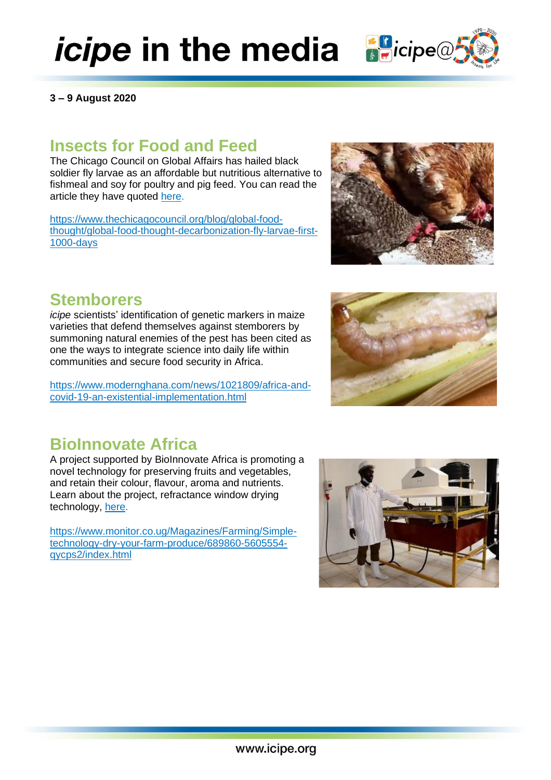# *icipe* in the media **B**icipe@

**3 – 9 August 2020**

# **Insects for Food and Feed**

The Chicago Council on Global Affairs has hailed black soldier fly larvae as an affordable but nutritious alternative to fishmeal and soy for poultry and pig feed. You can read the article they have quoted [here.](https://www.dw.com/en/food-security-sustainable-agriculture-farming-tech-larvae-africa-kenya-soy/a-54354145)

[https://www.thechicagocouncil.org/blog/global-food](https://www.thechicagocouncil.org/blog/global-food-thought/global-food-thought-decarbonization-fly-larvae-first-1000-days)[thought/global-food-thought-decarbonization-fly-larvae-first-](https://www.thechicagocouncil.org/blog/global-food-thought/global-food-thought-decarbonization-fly-larvae-first-1000-days)[1000-days](https://www.thechicagocouncil.org/blog/global-food-thought/global-food-thought-decarbonization-fly-larvae-first-1000-days)

# **Stemborers**

*icipe* scientists' identification of genetic markers in maize varieties that defend themselves against stemborers by summoning natural enemies of the pest has been cited as one the ways to integrate science into daily life within communities and secure food security in Africa.

[https://www.modernghana.com/news/1021809/africa-and](https://www.modernghana.com/news/1021809/africa-and-covid-19-an-existential-implementation.html)[covid-19-an-existential-implementation.html](https://www.modernghana.com/news/1021809/africa-and-covid-19-an-existential-implementation.html)

# **BioInnovate Africa**

A project supported by BioInnovate Africa is promoting a novel technology for preserving fruits and vegetables, and retain their colour, flavour, aroma and nutrients. Learn about the project, refractance window drying technology, [here.](https://bioinnovate-africa.org/adapting-refractance-window-drying-technology-to-produce-high-quality-fruit-and-vegetable-bioproducts/)

[https://www.monitor.co.ug/Magazines/Farming/Simple](https://www.monitor.co.ug/Magazines/Farming/Simple-technology-dry-your-farm-produce/689860-5605554-qycps2/index.html)[technology-dry-your-farm-produce/689860-5605554](https://www.monitor.co.ug/Magazines/Farming/Simple-technology-dry-your-farm-produce/689860-5605554-qycps2/index.html) [qycps2/index.html](https://www.monitor.co.ug/Magazines/Farming/Simple-technology-dry-your-farm-produce/689860-5605554-qycps2/index.html)







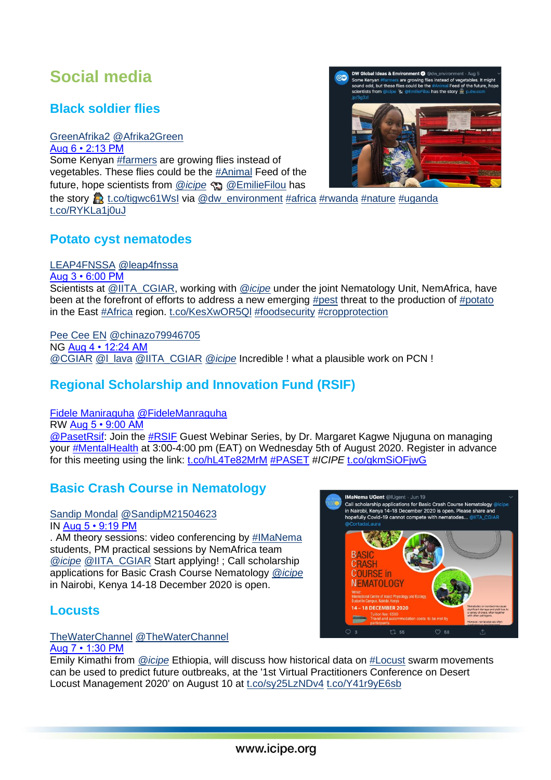# **Social media**

## **Black soldier flies**

[GreenAfrika2](http://www.twitter.com/Afrika2Green) [@Afrika2Green](http://www.twitter.com/Afrika2Green) [Aug 6 • 2:13 PM](http://twitter.com/Afrika2Green/statuses/1291331614052691968) Some Kenyan [#farmers](https://twitter.com/hashtag/farmers) are growing flies instead of vegetables. These flies could be the [#Animal](https://twitter.com/hashtag/Animal) Feed of the future, hope scientists from *[@icipe](https://twitter.com/icipe)* [@EmilieFilou](https://twitter.com/EmilieFilou) has

the story  $\mathbb{R}$  [t.co/tigwc61WsI](https://t.co/tigwc61WsI) via [@dw\\_environment](https://twitter.com/dw_environment) [#africa](https://twitter.com/hashtag/africa) [#rwanda](https://twitter.com/hashtag/rwanda) [#nature](https://twitter.com/hashtag/nature) [#uganda](https://twitter.com/hashtag/uganda) [t.co/RYKLa1j0uJ](https://t.co/RYKLa1j0uJ)

## **Potato cyst nematodes**

#### [LEAP4FNSSA](http://www.twitter.com/leap4fnssa) [@leap4fnssa](http://www.twitter.com/leap4fnssa)

[Aug 3 • 6:00 PM](http://twitter.com/leap4fnssa/statuses/1290301507523534849) Scientists at **@IITA** CGIAR, working with *[@icipe](https://twitter.com/icipe)* under the joint Nematology Unit, NemAfrica, have been at the forefront of efforts to address a new emerging [#pest](https://twitter.com/hashtag/pest) threat to the production of [#potato](https://twitter.com/hashtag/potato) in the East [#Africa](https://twitter.com/hashtag/Africa) region. [t.co/KesXwOR5Ql](https://t.co/KesXwOR5Ql) [#foodsecurity](https://twitter.com/hashtag/foodsecurity) [#cropprotection](https://twitter.com/hashtag/cropprotection)

[Pee Cee EN](http://www.twitter.com/chinazo79946705) [@chinazo79946705](http://www.twitter.com/chinazo79946705) NG [Aug 4 • 12:24 AM](http://twitter.com/chinazo79946705/statuses/1290398146699419649) [@CGIAR](https://twitter.com/CGIAR) [@l\\_lava](https://twitter.com/l_lava) [@IITA\\_CGIAR](https://twitter.com/IITA_CGIAR) *[@icipe](https://twitter.com/icipe)* Incredible ! what a plausible work on PCN !

# **Regional Scholarship and Innovation Fund (RSIF)**

[Fidele Maniraguha](http://www.twitter.com/FideleManraguha) [@FideleManraguha](http://www.twitter.com/FideleManraguha)

RW [Aug 5 • 9:00 AM](http://twitter.com/FideleManraguha/statuses/1290890316493578241)  [@PasetRsif:](https://twitter.com/PasetRsif) Join the [#RSIF](https://twitter.com/hashtag/RSIF) Guest Webinar Series, by Dr. Margaret Kagwe Njuguna on managing your [#MentalHealth](https://twitter.com/hashtag/MentalHealth) at 3:00-4:00 pm (EAT) on Wednesday 5th of August 2020. Register in advance for this meeting using the link: [t.co/hL4Te82MrM](https://t.co/hL4Te82MrM) [#PASET](https://twitter.com/hashtag/PASET) #*ICIPE* [t.co/gkmSiOFjwG](https://t.co/gkmSiOFjwG)

# **Basic Crash Course in Nematology**

# [Sandip Mondal](http://www.twitter.com/SandipM21504623) [@SandipM21504623](http://www.twitter.com/SandipM21504623)

IN [Aug 5 • 9:19 PM](http://twitter.com/SandipM21504623/statuses/1291076419821264896)

. AM theory sessions: video conferencing by [#IMaNema](https://twitter.com/hashtag/IMaNema) students, PM practical sessions by NemAfrica team *[@icipe](https://twitter.com/icipe)* [@IITA\\_CGIAR](https://twitter.com/IITA_CGIAR) Start applying! ; Call scholarship applications for Basic Crash Course Nematology *[@icipe](https://twitter.com/icipe)* in Nairobi, Kenya 14-18 December 2020 is open.

## **Locusts**

#### [TheWaterChannel](http://www.twitter.com/TheWaterChannel) [@TheWaterChannel](http://www.twitter.com/TheWaterChannel) [Aug 7 • 1:30 PM](http://twitter.com/TheWaterChannel/statuses/1291683061663490048)

Emily Kimathi from *[@icipe](https://twitter.com/icipe)* Ethiopia, will discuss how historical data on [#Locust](https://twitter.com/hashtag/Locust) swarm movements can be used to predict future outbreaks, at the '1st Virtual Practitioners Conference on Desert Locust Management 2020' on August 10 at [t.co/sy25LzNDv4](https://t.co/sy25LzNDv4) [t.co/Y41r9yE6sb](https://t.co/Y41r9yE6sb)